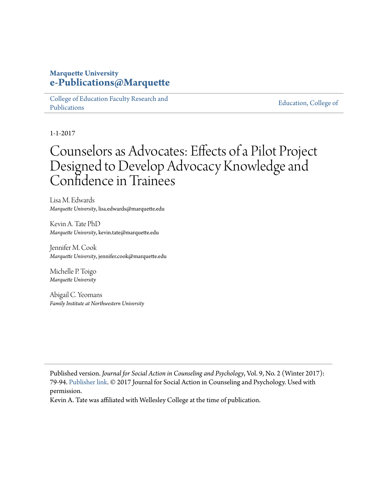## **Marquette University [e-Publications@Marquette](https://epublications.marquette.edu)**

[College of Education Faculty Research and](https://epublications.marquette.edu/edu_fac) [Publications](https://epublications.marquette.edu/edu_fac)

[Education, College of](https://epublications.marquette.edu/education)

1-1-2017

# Counselors as Advocates: Effects of a Pilot Project Designed to Develop Advocacy Knowledge and Confidence in Trainees

Lisa M. Edwards *Marquette University*, lisa.edwards@marquette.edu

Kevin A. Tate PhD *Marquette University*, kevin.tate@marquette.edu

Jennifer M. Cook *Marquette University*, jennifer.cook@marquette.edu

Michelle P. Toigo *Marquette University*

Abigail C. Yeomans *Family Institute at Northwestern University*

Published version. *Journal for Social Action in Counseling and Psychology*, Vol. 9, No. 2 (Winter 2017): 79-94. [Publisher link](http://cardinalscholar.bsu.edu/handle/123456789/201197). © 2017 Journal for Social Action in Counseling and Psychology. Used with permission.

Kevin A. Tate was affiliated with Wellesley College at the time of publication.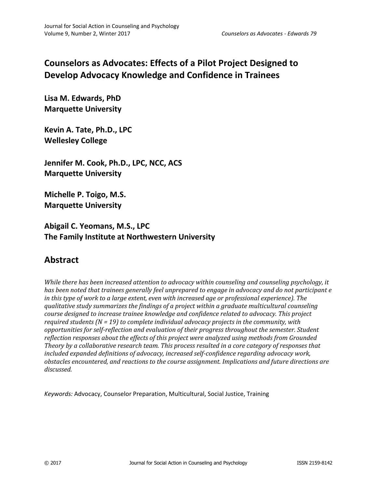# **Counselors as Advocates: Effects of a Pilot Project Designed to Develop Advocacy Knowledge and Confidence in Trainees**

**Lisa M. Edwards, PhD Marquette University**

**Kevin A. Tate, Ph.D., LPC Wellesley College**

**Jennifer M. Cook, Ph.D., LPC, NCC, ACS Marquette University**

**Michelle P. Toigo, M.S. Marquette University**

**Abigail C. Yeomans, M.S., LPC The Family Institute at Northwestern University**

# **Abstract**

*While there has been increased attention to advocacy within counseling and counseling psychology, it has been noted that trainees generally feel unprepared to engage in advocacy and do not participant e in this type of work to a large extent, even with increased age or professional experience). The qualitative study summarizes the findings of a project within a graduate multicultural counseling course designed to increase trainee knowledge and confidence related to advocacy. This project required students (N = 19) to complete individual advocacy projects in the community, with opportunities for self-reflection and evaluation of their progress throughout the semester. Student reflection responses about the effects of this project were analyzed using methods from Grounded Theory by a collaborative research team. This process resulted in a core category of responses that included expanded definitions of advocacy, increased self-confidence regarding advocacy work, obstacles encountered, and reactions to the course assignment. Implications and future directions are discussed.*

*Keywords:* Advocacy, Counselor Preparation, Multicultural, Social Justice, Training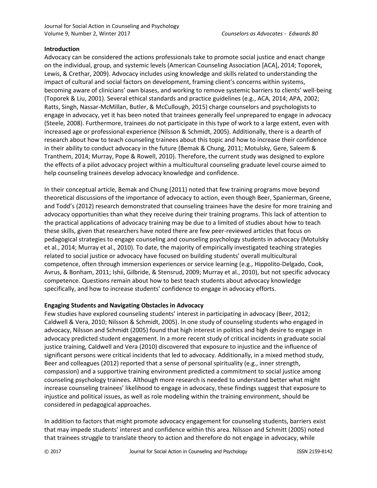#### **Introduction**

Advocacy can be considered the actions professionals take to promote social justice and enact change on the individual, group, and systemic levels (American Counseling Association [ACA], 2014; Toporek, Lewis, & Crethar, 2009). Advocacy includes using knowledge and skills related to understanding the impact of cultural and social factors on development, framing client's concerns within systems, becoming aware of clinicians' own biases, and working to remove systemic barriers to clients' well-being (Toporek & Liu, 2001). Several ethical standards and practice guidelines (e.g., ACA, 2014; APA, 2002; Ratts, Singh, Nassar-McMillan, Butler, & McCullough, 2015) charge counselors and psychologists to engage in advocacy, yet it has been noted that trainees generally feel unprepared to engage in advocacy (Steele, 2008). Furthermore, trainees do not participate in this type of work to a large extent, even with increased age or professional experience (Nilsson & Schmidt, 2005). Additionally, there is a dearth of research about how to teach counseling trainees about this topic and how to increase their confidence in their ability to conduct advocacy in the future (Bemak & Chung, 2011; Motulsky, Gere, Saleem & Tranthem, 2014; Murray, Pope & Rowell, 2010). Therefore, the current study was designed to explore the effects of a pilot advocacy project within a multicultural counseling graduate level course aimed to help counseling trainees develop advocacy knowledge and confidence.

In their conceptual article, Bemak and Chung (2011) noted that few training programs move beyond theoretical discussions of the importance of advocacy to action, even though Beer, Spanierman, Greene, and Todd's (2012) research demonstrated that counseling trainees have the desire for more training and advocacy opportunities than what they receive during their training programs. This lack of attention to the practical applications of advocacy training may be due to a limited of studies about how to teach these skills, given that researchers have noted there are few peer-reviewed articles that focus on pedagogical strategies to engage counseling and counseling psychology students in advocacy (Motulsky et al., 2014; Murray et al., 2010). To date, the majority of empirically investigated teaching strategies related to social justice or advocacy have focused on building students' overall multicultural competence, often through immersion experiences or service learning (e.g., Hippolito-Delgado, Cook, Avrus, & Bonham, 2011; Ishii, Gilbride, & Stensrud, 2009; Murray et al., 2010), but not specific advocacy competence. Questions remain about how to best teach students about advocacy knowledge specifically, and how to increase students' confidence to engage in advocacy efforts.

#### **Engaging Students and Navigating Obstacles in Advocacy**

Few studies have explored counseling students' interest in participating in advocacy (Beer, 2012; Caldwell & Vera, 2010; Nilsson & Schmidt, 2005). In one study of counseling students who engaged in advocacy, Nilsson and Schmidt (2005) found that high interest in politics and high desire to engage in advocacy predicted student engagement. In a more recent study of critical incidents in graduate social justice training, Caldwell and Vera (2010) discovered that exposure to injustice and the influence of significant persons were critical incidents that led to advocacy. Additionally, in a mixed method study, Beer and colleagues (2012) reported that a sense of personal spirituality (e.g., inner strength, compassion) and a supportive training environment predicted a commitment to social justice among counseling psychology trainees. Although more research is needed to understand better what might increase counseling trainees' likelihood to engage in advocacy, these findings suggest that exposure to injustice and political issues, as well as role modeling within the training environment, should be considered in pedagogical approaches.

In addition to factors that might promote advocacy engagement for counseling students, barriers exist that may impede students' interest and confidence within this area. Nilsson and Schmitt (2005) noted that trainees struggle to translate theory to action and therefore do not engage in advocacy, while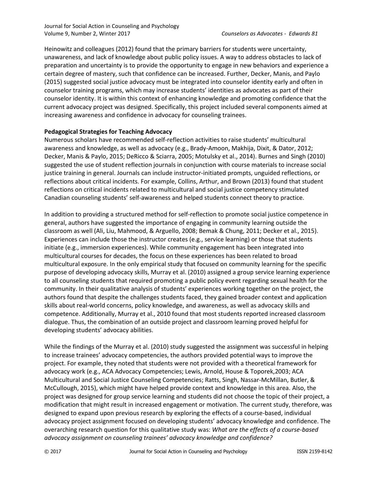Heinowitz and colleagues (2012) found that the primary barriers for students were uncertainty, unawareness, and lack of knowledge about public policy issues. A way to address obstacles to lack of preparation and uncertainty is to provide the opportunity to engage in new behaviors and experience a certain degree of mastery, such that confidence can be increased. Further, Decker, Manis, and Paylo (2015) suggested social justice advocacy must be integrated into counselor identity early and often in counselor training programs, which may increase students' identities as advocates as part of their counselor identity. It is within this context of enhancing knowledge and promoting confidence that the current advocacy project was designed. Specifically, this project included several components aimed at increasing awareness and confidence in advocacy for counseling trainees.

#### **Pedagogical Strategies for Teaching Advocacy**

Numerous scholars have recommended self-reflection activities to raise students' multicultural awareness and knowledge, as well as advocacy (e.g., Brady-Amoon, Makhija, Dixit, & Dator, 2012; Decker, Manis & Paylo, 2015; DeRicco & Sciarra, 2005; Motulsky et al., 2014). Burnes and Singh (2010) suggested the use of student reflection journals in conjunction with course materials to increase social justice training in general. Journals can include instructor-initiated prompts, unguided reflections, or reflections about critical incidents. For example, Collins, Arthur, and Brown (2013) found that student reflections on critical incidents related to multicultural and social justice competency stimulated Canadian counseling students' self-awareness and helped students connect theory to practice.

In addition to providing a structured method for self-reflection to promote social justice competence in general, authors have suggested the importance of engaging in community learning outside the classroom as well (Ali, Liu, Mahmood, & Arguello, 2008; Bemak & Chung, 2011; Decker et al., 2015). Experiences can include those the instructor creates (e.g., service learning) or those that students initiate (e.g., immersion experiences). While community engagement has been integrated into multicultural courses for decades, the focus on these experiences has been related to broad multicultural exposure. In the only empirical study that focused on community learning for the specific purpose of developing advocacy skills, Murray et al. (2010) assigned a group service learning experience to all counseling students that required promoting a public policy event regarding sexual health for the community. In their qualitative analysis of students' experiences working together on the project, the authors found that despite the challenges students faced, they gained broader context and application skills about real-world concerns, policy knowledge, and awareness, as well as advocacy skills and competence. Additionally, Murray et al., 2010 found that most students reported increased classroom dialogue. Thus, the combination of an outside project and classroom learning proved helpful for developing students' advocacy abilities.

While the findings of the Murray et al. (2010) study suggested the assignment was successful in helping to increase trainees' advocacy competencies, the authors provided potential ways to improve the project. For example, they noted that students were not provided with a theoretical framework for advocacy work (e.g., ACA Advocacy Competencies; Lewis, Arnold, House & Toporek,2003; ACA Multicultural and Social Justice Counseling Competencies; Ratts, Singh, Nassar-McMillan, Butler, & McCullough, 2015), which might have helped provide context and knowledge in this area. Also, the project was designed for group service learning and students did not choose the topic of their project, a modification that might result in increased engagement or motivation. The current study, therefore, was designed to expand upon previous research by exploring the effects of a course-based, individual advocacy project assignment focused on developing students' advocacy knowledge and confidence. The overarching research question for this qualitative study was: *What are the effects of a course-based advocacy assignment on counseling trainees' advocacy knowledge and confidence?*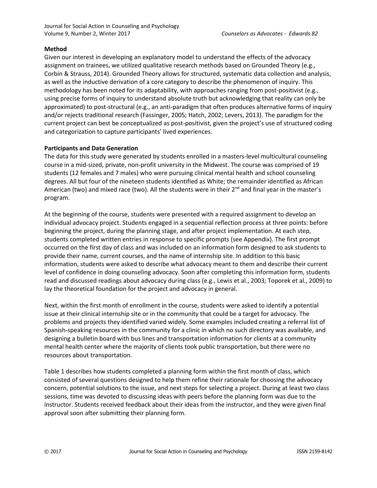#### **Method**

Given our interest in developing an explanatory model to understand the effects of the advocacy assignment on trainees, we utilized qualitative research methods based on Grounded Theory (e.g., Corbin & Strauss, 2014). Grounded Theory allows for structured, systematic data collection and analysis, as well as the inductive derivation of a core category to describe the phenomenon of inquiry. This methodology has been noted for its adaptability, with approaches ranging from post-positivist (e.g., using precise forms of inquiry to understand absolute truth but acknowledging that reality can only be approximated) to post-structural (e.g., an anti-paradigm that often produces alternative forms of inquiry and/or rejects traditional research (Fassinger, 2005; Hatch, 2002; Levers, 2013). The paradigm for the current project can best be conceptualized as post-positivist, given the project's use of structured coding and categorization to capture participants' lived experiences.

#### **Participants and Data Generation**

The data for this study were generated by students enrolled in a masters-level multicultural counseling course in a mid-sized, private, non-profit university in the Midwest. The course was comprised of 19 students (12 females and 7 males) who were pursuing clinical mental health and school counseling degrees. All but four of the nineteen students identified as White; the remainder identified as African American (two) and mixed race (two). All the students were in their 2<sup>nd</sup> and final year in the master's program.

At the beginning of the course, students were presented with a required assignment to develop an individual advocacy project. Students engaged in a sequential reflection process at three points: before beginning the project, during the planning stage, and after project implementation. At each step, students completed written entries in response to specific prompts (see Appendix). The first prompt occurred on the first day of class and was included on an information form designed to ask students to provide their name, current courses, and the name of internship site. In addition to this basic information, students were asked to describe what advocacy meant to them and describe their current level of confidence in doing counseling advocacy. Soon after completing this information form, students read and discussed readings about advocacy during class (e.g., Lewis et al., 2003; Toporek et al., 2009) to lay the theoretical foundation for the project and advocacy in general.

Next, within the first month of enrollment in the course, students were asked to identify a potential issue at their clinical internship site or in the community that could be a target for advocacy. The problems and projects they identified varied widely. Some examples included creating a referral list of Spanish-speaking resources in the community for a clinic in which no such directory was available, and designing a bulletin board with bus lines and transportation information for clients at a community mental health center where the majority of clients took public transportation, but there were no resources about transportation.

Table 1 describes how students completed a planning form within the first month of class, which consisted of several questions designed to help them refine their rationale for choosing the advocacy concern, potential solutions to the issue, and next steps for selecting a project. During at least two class sessions, time was devoted to discussing ideas with peers before the planning form was due to the instructor. Students received feedback about their ideas from the instructor, and they were given final approval soon after submitting their planning form.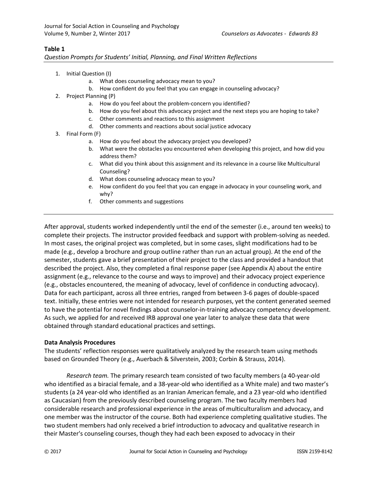#### **Table 1**

*Question Prompts for Students' Initial, Planning, and Final Written Reflections*

- 1. Initial Question (I)
	- a. What does counseling advocacy mean to you?
	- b. How confident do you feel that you can engage in counseling advocacy?
- 2. Project Planning (P)
	- a. How do you feel about the problem-concern you identified?
	- b. How do you feel about this advocacy project and the next steps you are hoping to take?
	- c. Other comments and reactions to this assignment
	- d. Other comments and reactions about social justice advocacy
- 3. Final Form (F)
	- a. How do you feel about the advocacy project you developed?
	- b. What were the obstacles you encountered when developing this project, and how did you address them?
	- c. What did you think about this assignment and its relevance in a course like Multicultural Counseling?
	- d. What does counseling advocacy mean to you?
	- e. How confident do you feel that you can engage in advocacy in your counseling work, and why?
	- f. Other comments and suggestions

After approval, students worked independently until the end of the semester (i.e., around ten weeks) to complete their projects. The instructor provided feedback and support with problem-solving as needed. In most cases, the original project was completed, but in some cases, slight modifications had to be made (e.g., develop a brochure and group outline rather than run an actual group). At the end of the semester, students gave a brief presentation of their project to the class and provided a handout that described the project. Also, they completed a final response paper (see Appendix A) about the entire assignment (e.g., relevance to the course and ways to improve) and their advocacy project experience (e.g., obstacles encountered, the meaning of advocacy, level of confidence in conducting advocacy). Data for each participant, across all three entries, ranged from between 3-6 pages of double-spaced text. Initially, these entries were not intended for research purposes, yet the content generated seemed to have the potential for novel findings about counselor-in-training advocacy competency development. As such, we applied for and received IRB approval one year later to analyze these data that were obtained through standard educational practices and settings.

#### **Data Analysis Procedures**

The students' reflection responses were qualitatively analyzed by the research team using methods based on Grounded Theory (e.g., Auerbach & Silverstein, 2003; Corbin & Strauss, 2014).

*Research team.* The primary research team consisted of two faculty members (a 40-year-old who identified as a biracial female, and a 38-year-old who identified as a White male) and two master's students (a 24 year-old who identified as an Iranian American female, and a 23 year-old who identified as Caucasian) from the previously described counseling program. The two faculty members had considerable research and professional experience in the areas of multiculturalism and advocacy, and one member was the instructor of the course. Both had experience completing qualitative studies. The two student members had only received a brief introduction to advocacy and qualitative research in their Master's counseling courses, though they had each been exposed to advocacy in their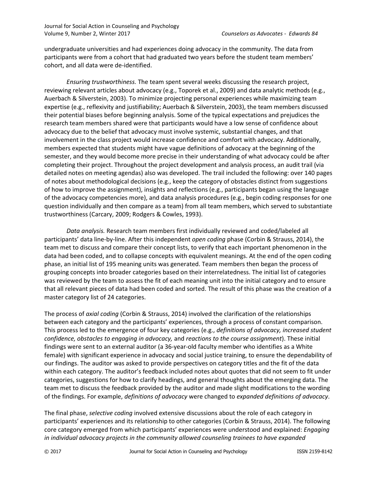undergraduate universities and had experiences doing advocacy in the community. The data from participants were from a cohort that had graduated two years before the student team members' cohort, and all data were de-identified.

*Ensuring trustworthiness.* The team spent several weeks discussing the research project, reviewing relevant articles about advocacy (e.g., Toporek et al., 2009) and data analytic methods (e.g., Auerbach & Silverstein, 2003). To minimize projecting personal experiences while maximizing team expertise (e.g., reflexivity and justifiability; Auerbach & Silverstein, 2003), the team members discussed their potential biases before beginning analysis. Some of the typical expectations and prejudices the research team members shared were that participants would have a low sense of confidence about advocacy due to the belief that advocacy must involve systemic, substantial changes, and that involvement in the class project would increase confidence and comfort with advocacy. Additionally, members expected that students might have vague definitions of advocacy at the beginning of the semester, and they would become more precise in their understanding of what advocacy could be after completing their project. Throughout the project development and analysis process, an audit trail (via detailed notes on meeting agendas) also was developed. The trail included the following: over 140 pages of notes about methodological decisions (e.g., keep the category of obstacles distinct from suggestions of how to improve the assignment), insights and reflections (e.g., participants began using the language of the advocacy competencies more), and data analysis procedures (e.g., begin coding responses for one question individually and then compare as a team) from all team members, which served to substantiate trustworthiness (Carcary, 2009; Rodgers & Cowles, 1993).

*Data analysis.* Research team members first individually reviewed and coded/labeled all participants' data line-by-line. After this independent *open coding* phase (Corbin & Strauss, 2014), the team met to discuss and compare their concept lists, to verify that each important phenomenon in the data had been coded, and to collapse concepts with equivalent meanings. At the end of the open coding phase, an initial list of 195 meaning units was generated. Team members then began the process of grouping concepts into broader categories based on their interrelatedness. The initial list of categories was reviewed by the team to assess the fit of each meaning unit into the initial category and to ensure that all relevant pieces of data had been coded and sorted. The result of this phase was the creation of a master category list of 24 categories.

The process of *axial coding* (Corbin & Strauss, 2014) involved the clarification of the relationships between each category and the participants' experiences, through a process of constant comparison. This process led to the emergence of four key categories (e.g., *definitions of advocacy, increased student confidence, obstacles to engaging in advocacy,* and *reactions to the course assignment*). These initial findings were sent to an external auditor (a 36-year-old faculty member who identifies as a White female) with significant experience in advocacy and social justice training, to ensure the dependability of our findings. The auditor was asked to provide perspectives on category titles and the fit of the data within each category. The auditor's feedback included notes about quotes that did not seem to fit under categories, suggestions for how to clarify headings, and general thoughts about the emerging data. The team met to discuss the feedback provided by the auditor and made slight modifications to the wording of the findings. For example, *definitions of advocacy* were changed to *expanded definitions of advocacy*.

The final phase, *selective coding* involved extensive discussions about the role of each category in participants' experiences and its relationship to other categories (Corbin & Strauss, 2014). The following core category emerged from which participants' experiences were understood and explained: *Engaging in individual advocacy projects in the community allowed counseling trainees to have expanded*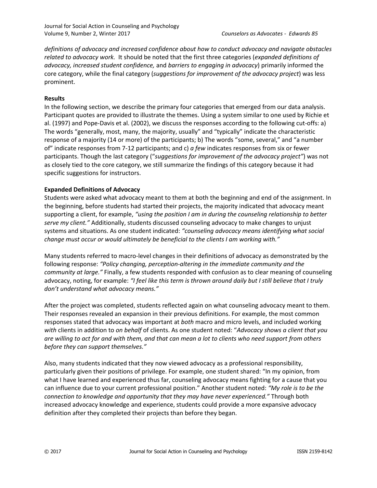*definitions of advocacy and increased confidence about how to conduct advocacy and navigate obstacles related to advocacy work.* It should be noted that the first three categories (*expanded definitions of advocacy, increased student confidence,* and *barriers to engaging in advocacy*) primarily informed the core category, while the final category (*suggestions for improvement of the advocacy project*) was less prominent.

#### **Results**

In the following section, we describe the primary four categories that emerged from our data analysis. Participant quotes are provided to illustrate the themes. Using a system similar to one used by Richie et al. (1997) and Pope-Davis et al. (2002), we discuss the responses according to the following cut-offs: a) The words "generally, most, many, the majority, usually" and "typically" indicate the characteristic response of a majority (14 or more) of the participants; b) The words "some, several," and "a number of" indicate responses from 7-12 participants; and c) *a few* indicates responses from six or fewer participants. Though the last category ("*suggestions for improvement of the advocacy project"*) was not as closely tied to the core category, we still summarize the findings of this category because it had specific suggestions for instructors.

#### **Expanded Definitions of Advocacy**

Students were asked what advocacy meant to them at both the beginning and end of the assignment. In the beginning, before students had started their projects, the majority indicated that advocacy meant supporting a client, for example, *"using the position I am in during the counseling relationship to better serve my client."* Additionally, students discussed counseling advocacy to make changes to unjust systems and situations. As one student indicated: *"counseling advocacy means identifying what social change must occur or would ultimately be beneficial to the clients I am working with."*

Many students referred to macro-level changes in their definitions of advocacy as demonstrated by the following response: *"Policy changing, perception-altering in the immediate community and the community at large."* Finally, a few students responded with confusion as to clear meaning of counseling advocacy, noting, for example: *"I feel like this term is thrown around daily but I still believe that I truly don't understand what advocacy means."*

After the project was completed, students reflected again on what counseling advocacy meant to them. Their responses revealed an expansion in their previous definitions. For example, the most common responses stated that advocacy was important at *both* macro and micro levels, and included working *with* clients in addition to *on behalf* of clients. As one student noted: "*Advocacy shows a client that you are willing to act for and with them, and that can mean a lot to clients who need support from others before they can support themselves."*

Also, many students indicated that they now viewed advocacy as a professional responsibility, particularly given their positions of privilege. For example, one student shared: "In my opinion, from what I have learned and experienced thus far, counseling advocacy means fighting for a cause that you can influence due to your current professional position." Another student noted: *"My role is to be the connection to knowledge and opportunity that they may have never experienced."* Through both increased advocacy knowledge and experience, students could provide a more expansive advocacy definition after they completed their projects than before they began.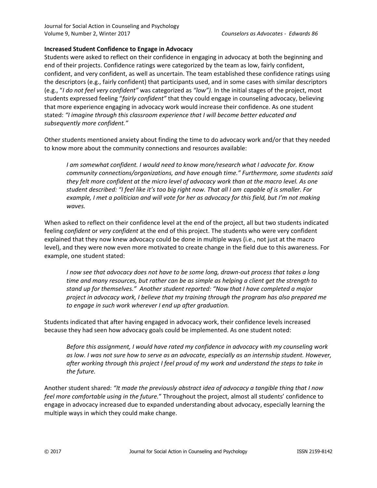Journal for Social Action in Counseling and Psychology Volume 9, Number 2, Winter 2017 *Counselors as Advocates - Edwards 86*

#### **Increased Student Confidence to Engage in Advocacy**

Students were asked to reflect on their confidence in engaging in advocacy at both the beginning and end of their projects. Confidence ratings were categorized by the team as low, fairly confident, confident, and very confident, as well as uncertain. The team established these confidence ratings using the descriptors (e.g., fairly confident) that participants used, and in some cases with similar descriptors (e.g., "*I do not feel very confident"* was categorized as *"low").* In the initial stages of the project, most students expressed feeling "*fairly confident"* that they could engage in counseling advocacy, believing that more experience engaging in advocacy work would increase their confidence. As one student stated: *"I imagine through this classroom experience that I will become better educated and subsequently more confident."*

Other students mentioned anxiety about finding the time to do advocacy work and/or that they needed to know more about the community connections and resources available:

*I am somewhat confident. I would need to know more/research what I advocate for. Know community connections/organizations, and have enough time." Furthermore, some students said they felt more confident at the micro level of advocacy work than at the macro level. As one student described: "I feel like it's too big right now. That all I am capable of is smaller. For example, I met a politician and will vote for her as advocacy for this field, but I'm not making waves.*

When asked to reflect on their confidence level at the end of the project, all but two students indicated feeling *confident* or *very confident* at the end of this project. The students who were very confident explained that they now knew advocacy could be done in multiple ways (i.e., not just at the macro level), and they were now even more motivated to create change in the field due to this awareness. For example, one student stated:

*I now see that advocacy does not have to be some long, drawn-out process that takes a long time and many resources, but rather can be as simple as helping a client get the strength to stand up for themselves." Another student reported: "Now that I have completed a major project in advocacy work, I believe that my training through the program has also prepared me to engage in such work wherever I end up after graduation.*

Students indicated that after having engaged in advocacy work, their confidence levels increased because they had seen how advocacy goals could be implemented. As one student noted:

*Before this assignment, I would have rated my confidence in advocacy with my counseling work as low. I was not sure how to serve as an advocate, especially as an internship student. However, after working through this project I feel proud of my work and understand the steps to take in the future.*

Another student shared: *"It made the previously abstract idea of advocacy a tangible thing that I now feel more comfortable using in the future.*" Throughout the project, almost all students' confidence to engage in advocacy increased due to expanded understanding about advocacy, especially learning the multiple ways in which they could make change.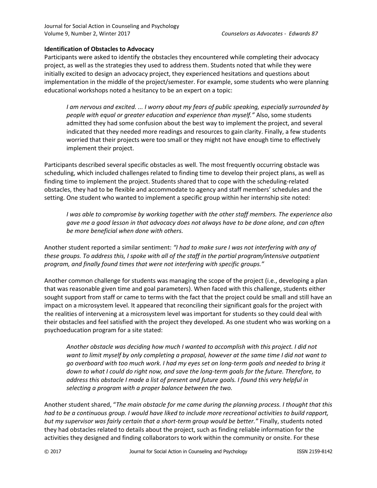#### **Identification of Obstacles to Advocacy**

Participants were asked to identify the obstacles they encountered while completing their advocacy project, as well as the strategies they used to address them. Students noted that while they were initially excited to design an advocacy project, they experienced hesitations and questions about implementation in the middle of the project/semester. For example, some students who were planning educational workshops noted a hesitancy to be an expert on a topic:

*I am nervous and excited. ... I worry about my fears of public speaking, especially surrounded by people with equal or greater education and experience than myself."* Also, some students admitted they had some confusion about the best way to implement the project, and several indicated that they needed more readings and resources to gain clarity. Finally, a few students worried that their projects were too small or they might not have enough time to effectively implement their project.

Participants described several specific obstacles as well. The most frequently occurring obstacle was scheduling, which included challenges related to finding time to develop their project plans, as well as finding time to implement the project. Students shared that to cope with the scheduling-related obstacles, they had to be flexible and accommodate to agency and staff members' schedules and the setting. One student who wanted to implement a specific group within her internship site noted:

*I was able to compromise by working together with the other staff members. The experience also gave me a good lesson in that advocacy does not always have to be done alone, and can often be more beneficial when done with others.*

Another student reported a similar sentiment: *"I had to make sure I was not interfering with any of these groups. To address this, I spoke with all of the staff in the partial program/intensive outpatient program, and finally found times that were not interfering with specific groups."*

Another common challenge for students was managing the scope of the project (i.e., developing a plan that was reasonable given time and goal parameters). When faced with this challenge, students either sought support from staff or came to terms with the fact that the project could be small and still have an impact on a microsystem level. It appeared that reconciling their significant goals for the project with the realities of intervening at a microsystem level was important for students so they could deal with their obstacles and feel satisfied with the project they developed. As one student who was working on a psychoeducation program for a site stated:

*Another obstacle was deciding how much I wanted to accomplish with this project. I did not want to limit myself by only completing a proposal, however at the same time I did not want to go overboard with too much work. I had my eyes set on long-term goals and needed to bring it down to what I could do right now, and save the long-term goals for the future. Therefore, to address this obstacle I made a list of present and future goals. I found this very helpful in selecting a program with a proper balance between the two.*

Another student shared, "*The main obstacle for me came during the planning process. I thought that this had to be a continuous group. I would have liked to include more recreational activities to build rapport, but my supervisor was fairly certain that a short-term group would be better."* Finally, students noted they had obstacles related to details about the project, such as finding reliable information for the activities they designed and finding collaborators to work within the community or onsite. For these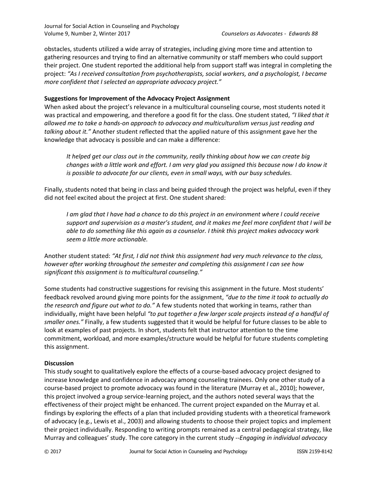Journal for Social Action in Counseling and Psychology Volume 9, Number 2, Winter 2017 *Counselors as Advocates - Edwards 88*

obstacles, students utilized a wide array of strategies, including giving more time and attention to gathering resources and trying to find an alternative community or staff members who could support their project. One student reported the additional help from support staff was integral in completing the project: *"As I received consultation from psychotherapists, social workers, and a psychologist, I became more confident that I selected an appropriate advocacy project."*

#### **Suggestions for Improvement of the Advocacy Project Assignment**

When asked about the project's relevance in a multicultural counseling course, most students noted it was practical and empowering, and therefore a good fit for the class. One student stated, *"I liked that it allowed me to take a hands-on approach to advocacy and multiculturalism versus just reading and talking about it."* Another student reflected that the applied nature of this assignment gave her the knowledge that advocacy is possible and can make a difference:

*It helped get our class out in the community, really thinking about how we can create big changes with a little work and effort. I am very glad you assigned this because now I do know it is possible to advocate for our clients, even in small ways, with our busy schedules.*

Finally, students noted that being in class and being guided through the project was helpful, even if they did not feel excited about the project at first. One student shared:

*I am glad that I have had a chance to do this project in an environment where I could receive support and supervision as a master's student, and it makes me feel more confident that I will be able to do something like this again as a counselor. I think this project makes advocacy work seem a little more actionable.*

Another student stated: *"At first, I did not think this assignment had very much relevance to the class, however after working throughout the semester and completing this assignment I can see how significant this assignment is to multicultural counseling."*

Some students had constructive suggestions for revising this assignment in the future. Most students' feedback revolved around giving more points for the assignment, *"due to the time it took to actually do the research and figure out what to do."* A few students noted that working in teams, rather than individually, might have been helpful *"to put together a few larger scale projects instead of a handful of smaller ones."* Finally, a few students suggested that it would be helpful for future classes to be able to look at examples of past projects. In short, students felt that instructor attention to the time commitment, workload, and more examples/structure would be helpful for future students completing this assignment.

#### **Discussion**

This study sought to qualitatively explore the effects of a course-based advocacy project designed to increase knowledge and confidence in advocacy among counseling trainees. Only one other study of a course-based project to promote advocacy was found in the literature (Murray et al., 2010); however, this project involved a group service-learning project, and the authors noted several ways that the effectiveness of their project might be enhanced. The current project expanded on the Murray et al. findings by exploring the effects of a plan that included providing students with a theoretical framework of advocacy (e.g., Lewis et al., 2003) and allowing students to choose their project topics and implement their project individually. Responding to writing prompts remained as a central pedagogical strategy, like Murray and colleagues' study. The core category in the current study --*Engaging in individual advocacy*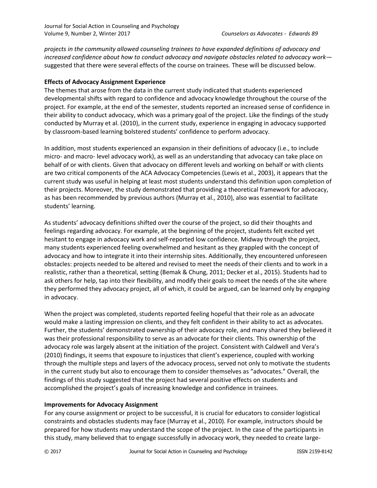*projects in the community allowed counseling trainees to have expanded definitions of advocacy and increased confidence about how to conduct advocacy and navigate obstacles related to advocacy work* suggested that there were several effects of the course on trainees*.* These will be discussed below.

#### **Effects of Advocacy Assignment Experience**

The themes that arose from the data in the current study indicated that students experienced developmental shifts with regard to confidence and advocacy knowledge throughout the course of the project. For example, at the end of the semester, students reported an increased sense of confidence in their ability to conduct advocacy, which was a primary goal of the project. Like the findings of the study conducted by Murray et al. (2010), in the current study, experience in engaging in advocacy supported by classroom-based learning bolstered students' confidence to perform advocacy.

In addition, most students experienced an expansion in their definitions of advocacy (i.e., to include micro- and macro- level advocacy work), as well as an understanding that advocacy can take place on behalf of or with clients. Given that advocacy on different levels and working on behalf or with clients are two critical components of the ACA Advocacy Competencies (Lewis et al., 2003), it appears that the current study was useful in helping at least most students understand this definition upon completion of their projects. Moreover, the study demonstrated that providing a theoretical framework for advocacy, as has been recommended by previous authors (Murray et al., 2010), also was essential to facilitate students' learning.

As students' advocacy definitions shifted over the course of the project, so did their thoughts and feelings regarding advocacy. For example, at the beginning of the project, students felt excited yet hesitant to engage in advocacy work and self-reported low confidence. Midway through the project, many students experienced feeling overwhelmed and hesitant as they grappled with the concept of advocacy and how to integrate it into their internship sites. Additionally, they encountered unforeseen obstacles: projects needed to be altered and revised to meet the needs of their clients and to work in a realistic, rather than a theoretical, setting (Bemak & Chung, 2011; Decker et al., 2015). Students had to ask others for help, tap into their flexibility, and modify their goals to meet the needs of the site where they performed they advocacy project, all of which, it could be argued, can be learned only by *engaging* in advocacy.

When the project was completed, students reported feeling hopeful that their role as an advocate would make a lasting impression on clients, and they felt confident in their ability to act as advocates. Further, the students' demonstrated ownership of their advocacy role, and many shared they believed it was their professional responsibility to serve as an advocate for their clients. This ownership of the advocacy role was largely absent at the initiation of the project. Consistent with Caldwell and Vera's (2010) findings, it seems that exposure to injustices that client's experience, coupled with working through the multiple steps and layers of the advocacy process, served not only to motivate the students in the current study but also to encourage them to consider themselves as "advocates." Overall, the findings of this study suggested that the project had several positive effects on students and accomplished the project's goals of increasing knowledge and confidence in trainees.

#### **Improvements for Advocacy Assignment**

For any course assignment or project to be successful, it is crucial for educators to consider logistical constraints and obstacles students may face (Murray et al., 2010). For example, instructors should be prepared for how students may understand the scope of the project. In the case of the participants in this study, many believed that to engage successfully in advocacy work, they needed to create large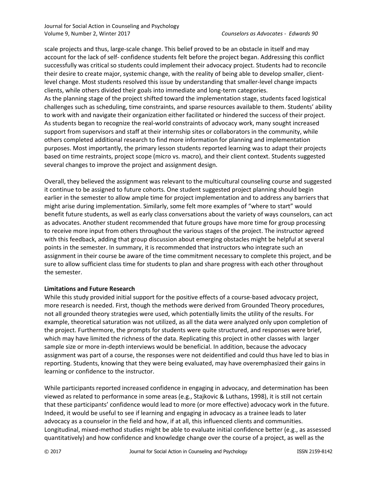scale projects and thus, large-scale change. This belief proved to be an obstacle in itself and may account for the lack of self- confidence students felt before the project began. Addressing this conflict successfully was critical so students could implement their advocacy project. Students had to reconcile their desire to create major, systemic change, with the reality of being able to develop smaller, clientlevel change. Most students resolved this issue by understanding that smaller-level change impacts clients, while others divided their goals into immediate and long-term categories. As the planning stage of the project shifted toward the implementation stage, students faced logistical challenges such as scheduling, time constraints, and sparse resources available to them. Students' ability to work with and navigate their organization either facilitated or hindered the success of their project. As students began to recognize the real-world constraints of advocacy work, many sought increased support from supervisors and staff at their internship sites or collaborators in the community, while others completed additional research to find more information for planning and implementation purposes. Most importantly, the primary lesson students reported learning was to adapt their projects based on time restraints, project scope (micro vs. macro), and their client context. Students suggested several changes to improve the project and assignment design.

Overall, they believed the assignment was relevant to the multicultural counseling course and suggested it continue to be assigned to future cohorts. One student suggested project planning should begin earlier in the semester to allow ample time for project implementation and to address any barriers that might arise during implementation. Similarly, some felt more examples of "where to start" would benefit future students, as well as early class conversations about the variety of ways counselors, can act as advocates. Another student recommended that future groups have more time for group processing to receive more input from others throughout the various stages of the project. The instructor agreed with this feedback, adding that group discussion about emerging obstacles might be helpful at several points in the semester. In summary, it is recommended that instructors who integrate such an assignment in their course be aware of the time commitment necessary to complete this project, and be sure to allow sufficient class time for students to plan and share progress with each other throughout the semester.

#### **Limitations and Future Research**

While this study provided initial support for the positive effects of a course-based advocacy project, more research is needed. First, though the methods were derived from Grounded Theory procedures, not all grounded theory strategies were used, which potentially limits the utility of the results. For example, theoretical saturation was not utilized, as all the data were analyzed only upon completion of the project. Furthermore, the prompts for students were quite structured, and responses were brief, which may have limited the richness of the data. Replicating this project in other classes with larger sample size or more in-depth interviews would be beneficial. In addition, because the advocacy assignment was part of a course, the responses were not deidentified and could thus have led to bias in reporting. Students, knowing that they were being evaluated, may have overemphasized their gains in learning or confidence to the instructor.

While participants reported increased confidence in engaging in advocacy, and determination has been viewed as related to performance in some areas (e.g., Stajkovic & Luthans, 1998), it is still not certain that these participants' confidence would lead to more (or more effective) advocacy work in the future. Indeed, it would be useful to see if learning and engaging in advocacy as a trainee leads to later advocacy as a counselor in the field and how, if at all, this influenced clients and communities. Longitudinal, mixed-method studies might be able to evaluate initial confidence better (e.g., as assessed quantitatively) and how confidence and knowledge change over the course of a project, as well as the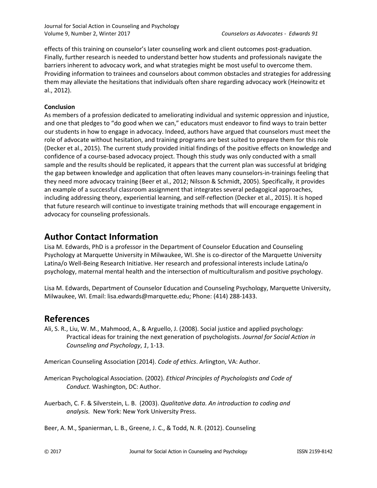Journal for Social Action in Counseling and Psychology Volume 9, Number 2, Winter 2017 *Counselors as Advocates - Edwards 91*

effects of this training on counselor's later counseling work and client outcomes post-graduation. Finally, further research is needed to understand better how students and professionals navigate the barriers inherent to advocacy work, and what strategies might be most useful to overcome them. Providing information to trainees and counselors about common obstacles and strategies for addressing them may alleviate the hesitations that individuals often share regarding advocacy work (Heinowitz et al., 2012).

#### **Conclusion**

As members of a profession dedicated to ameliorating individual and systemic oppression and injustice, and one that pledges to "do good when we can," educators must endeavor to find ways to train better our students in how to engage in advocacy. Indeed, authors have argued that counselors must meet the role of advocate without hesitation, and training programs are best suited to prepare them for this role (Decker et al., 2015). The current study provided initial findings of the positive effects on knowledge and confidence of a course-based advocacy project. Though this study was only conducted with a small sample and the results should be replicated, it appears that the current plan was successful at bridging the gap between knowledge and application that often leaves many counselors-in-trainings feeling that they need more advocacy training (Beer et al., 2012; Nilsson & Schmidt, 2005). Specifically, it provides an example of a successful classroom assignment that integrates several pedagogical approaches, including addressing theory, experiential learning, and self-reflection (Decker et al., 2015). It is hoped that future research will continue to investigate training methods that will encourage engagement in advocacy for counseling professionals.

### **Author Contact Information**

Lisa M. Edwards, PhD is a professor in the Department of Counselor Education and Counseling Psychology at Marquette University in Milwaukee, WI. She is co-director of the Marquette University Latina/o Well-Being Research Initiative. Her research and professional interests include Latina/o psychology, maternal mental health and the intersection of multiculturalism and positive psychology.

Lisa M. Edwards, Department of Counselor Education and Counseling Psychology, Marquette University, Milwaukee, WI. Email: lisa.edwards@marquette.edu; Phone: (414) 288-1433.

### **References**

Ali, S. R., Liu, W. M., Mahmood, A., & Arguello, J. (2008). Social justice and applied psychology: Practical ideas for training the next generation of psychologists. *Journal for Social Action in Counseling and Psychology*, *1*, 1-13.

American Counseling Association (2014). *Code of ethics*. Arlington, VA: Author.

American Psychological Association. (2002). *Ethical Principles of Psychologists and Code of Conduct.* Washington, DC: Author.

Auerbach, C. F. & Silverstein, L. B. (2003). *Qualitative data. An introduction to coding and analysis.* New York: New York University Press.

Beer, A. M., Spanierman, L. B., Greene, J. C., & Todd, N. R. (2012). Counseling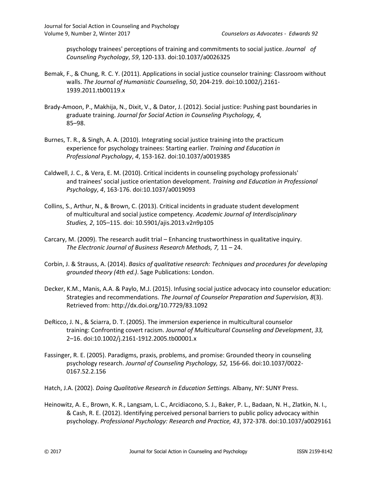psychology trainees' perceptions of training and commitments to social justice. *Journal of Counseling Psychology*, *59*, 120-133. doi:10.1037/a0026325

- Bemak, F., & Chung, R. C. Y. (2011). Applications in social justice counselor training: Classroom without walls. *The Journal of Humanistic Counseling*, *50*, 204-219. doi:10.1002/j.2161- 1939.2011.tb00119.x
- Brady-Amoon, P., Makhija, N., Dixit, V., & Dator, J. (2012). Social justice: Pushing past boundaries in graduate training. *Journal for Social Action in Counseling Psychology, 4,* 85–98.
- Burnes, T. R., & Singh, A. A. (2010). Integrating social justice training into the practicum experience for psychology trainees: Starting earlier. *Training and Education in Professional Psychology*, *4*, 153-162. doi:10.1037/a0019385
- Caldwell, J. C., & Vera, E. M. (2010). Critical incidents in counseling psychology professionals' and trainees' social justice orientation development. *Training and Education in Professional Psychology*, *4*, 163-176. doi:10.1037/a0019093
- Collins, S., Arthur, N., & Brown, C. (2013). Critical incidents in graduate student development of multicultural and social justice competency. *Academic Journal of Interdisciplinary Studies, 2*, 105–115. doi: 10.5901/ajis.2013.v2n9p105
- Carcary, M. (2009). The research audit trial Enhancing trustworthiness in qualitative inquiry. *The Electronic Journal of Business Research Methods, 7,* 11 – 24.
- Corbin, J. & Strauss, A. (2014). *Basics of qualitative research: Techniques and procedures for developing grounded theory (4th ed.)*. Sage Publications: London.
- Decker, K.M., Manis, A.A. & Paylo, M.J. (2015). Infusing social justice advocacy into counselor education: Strategies and recommendations. *The Journal of Counselor Preparation and Supervision, 8*(3). Retrieved from: http://dx.doi.org/10.7729/83.1092
- DeRicco, J. N., & Sciarra, D. T. (2005). The immersion experience in multicultural counselor training: Confronting covert racism. *Journal of Multicultural Counseling and Development*, *33,* 2–16. doi:10.1002/j.2161-1912.2005.tb00001.x
- Fassinger, R. E. (2005). Paradigms, praxis, problems, and promise: Grounded theory in counseling psychology research. *Journal of Counseling Psychology, 52,* 156-66. doi:10.1037/0022- 0167.52.2.156
- Hatch, J.A. (2002). *Doing Qualitative Research in Education Settings.* Albany, NY: SUNY Press.
- Heinowitz, A. E., Brown, K. R., Langsam, L. C., Arcidiacono, S. J., Baker, P. L., Badaan, N. H., Zlatkin, N. I., & Cash, R. E. (2012). Identifying perceived personal barriers to public policy advocacy within psychology. *Professional Psychology: Research and Practice, 43*, 372-378. doi:10.1037/a0029161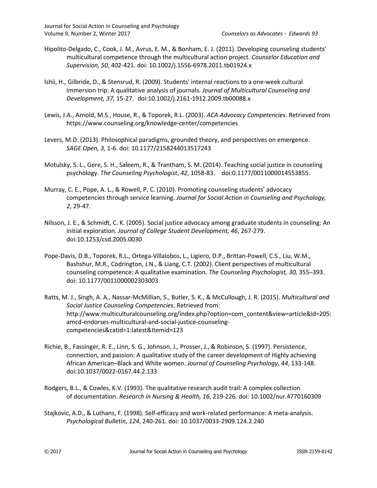- Hipolito-Delgado, C., Cook, J. M., Avrus, E. M., & Bonham, E. J. (2011). Developing counseling students' multicultural competence through the multicultural action project. *Counselor Education and Supervision, 50*, 402-421. doi: 10.1002/j.1556-6978.2011.tb01924.x
- Ishii, H., Gilbride, D., & Stensrud, R. (2009). Students' internal reactions to a one-week cultural immersion trip: A qualitative analysis of journals. *Journal of Multicultural Counseling and Development, 37,* 15-27. doi:10.1002/j.2161-1912.2009.tb00088.x
- Lewis, J.A., Arnold, M.S., House, R., & Toporek, R.L. (2003). *ACA Advocacy Competencies*. Retrieved from https://www.counseling.org/knowledge-center/competencies
- Levers, M.D. (2013). Philosophical paradigms, grounded theory, and perspectives on emergence. *SAGE Open, 3,* 1-6. doi: 10.1177/2158244013517243
- Motulsky, S. L., Gere, S. H., Saleem, R., & Trantham, S. M. (2014). Teaching social justice in counseling psychology. *The Counseling Psychologist*, *42*, 1058-83. doi:0.1177/0011000014553855.
- Murray, C. E., Pope, A. L., & Rowell, P. C. (2010). Promoting counseling students' advocacy competencies through service learning. *Journal for Social Action in Counseling and Psychology, 2*, 29-47.
- Nilsson, J. E., & Schmidt, C. K. (2005). Social justice advocacy among graduate students in counseling: An initial exploration. *Journal of College Student Development, 46*, 267-279. doi:10.1253/csd.2005.0030
- Pope-Davis, D.B., Toporek, R.L., Ortega-Villalobos, L., Ligiero, D.P., Brittan-Powell, C.S., Liu, W.M., Bashshur, M.R., Codrington, J.N., & Liang, C.T. (2002). Client perspectives of multicultural counseling competence: A qualitative examination. *The Counseling Psychologist, 30,* 355–393. doi: 10.1177/0011000002303003
- Ratts, M. J., Singh, A. A., Nassar-McMillian, S., Butler, S. K., & McCullough, J. R. (2015). *Multicultural and Social Justice Counseling Competencies*. Retrieved from: http://www.multiculturalcounseling.org/index.php?option=com\_content&view=article&id=205: amcd-endorses-multicultural-and-social-justice-counselingcompetencies&catid=1:latest&Itemid=123
- Richie, B., Fassinger, R. E., Linn, S. G., Johnson, J., Prosser, J., & Robinson, S. (1997). Persistence, connection, and passion: A qualitative study of the career development of Highly achieving African American–Black and White women. *Journal of Counseling Psychology*, *44*, 133-148. doi:10.1037/0022-0167.44.2.133
- Rodgers, B.L., & Cowles, K.V. (1993). The qualitative research audit trail: A complex collection of documentation. *Research in Nursing & Health, 16*, 219-226. doi: 10.1002/nur.4770160309
- Stajkovic, A.D., & Luthans, F. (1998). Self-efficacy and work-related performance: A meta-analysis. *Psychological Bulletin, 124*, 240-261. doi: 10.1037/0033-2909.124.2.240